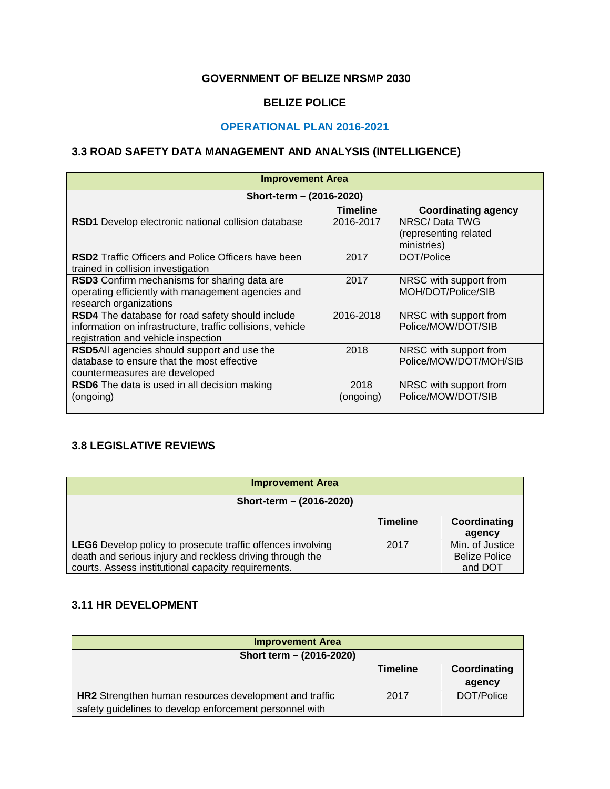#### **GOVERNMENT OF BELIZE NRSMP 2030**

#### **BELIZE POLICE**

#### **OPERATIONAL PLAN 2016-2021**

### **3.3 ROAD SAFETY DATA MANAGEMENT AND ANALYSIS (INTELLIGENCE)**

| <b>Improvement Area</b>                                    |                 |                                      |  |  |  |  |
|------------------------------------------------------------|-----------------|--------------------------------------|--|--|--|--|
| Short-term - (2016-2020)                                   |                 |                                      |  |  |  |  |
|                                                            | <b>Timeline</b> | <b>Coordinating agency</b>           |  |  |  |  |
| RSD1 Develop electronic national collision database        | 2016-2017       | NRSC/Data TWG                        |  |  |  |  |
|                                                            |                 | (representing related<br>ministries) |  |  |  |  |
| <b>RSD2</b> Traffic Officers and Police Officers have been | 2017            | DOT/Police                           |  |  |  |  |
| trained in collision investigation                         |                 |                                      |  |  |  |  |
| RSD3 Confirm mechanisms for sharing data are               | 2017            | NRSC with support from               |  |  |  |  |
| operating efficiently with management agencies and         |                 | MOH/DOT/Police/SIB                   |  |  |  |  |
| research organizations                                     |                 |                                      |  |  |  |  |
| RSD4 The database for road safety should include           | 2016-2018       | NRSC with support from               |  |  |  |  |
| information on infrastructure, traffic collisions, vehicle |                 | Police/MOW/DOT/SIB                   |  |  |  |  |
| registration and vehicle inspection                        |                 |                                      |  |  |  |  |
| RSD5All agencies should support and use the                | 2018            | NRSC with support from               |  |  |  |  |
| database to ensure that the most effective                 |                 | Police/MOW/DOT/MOH/SIB               |  |  |  |  |
| countermeasures are developed                              |                 |                                      |  |  |  |  |
| <b>RSD6</b> The data is used in all decision making        | 2018            | NRSC with support from               |  |  |  |  |
| (ongoing)                                                  | (ongoing)       | Police/MOW/DOT/SIB                   |  |  |  |  |
|                                                            |                 |                                      |  |  |  |  |

## **3.8 LEGISLATIVE REVIEWS**

| <b>Improvement Area</b>                                                                                                                                                                |                 |                                                    |  |  |  |
|----------------------------------------------------------------------------------------------------------------------------------------------------------------------------------------|-----------------|----------------------------------------------------|--|--|--|
| Short-term - (2016-2020)                                                                                                                                                               |                 |                                                    |  |  |  |
|                                                                                                                                                                                        | <b>Timeline</b> | Coordinating<br>agency                             |  |  |  |
| <b>LEG6</b> Develop policy to prosecute traffic offences involving<br>death and serious injury and reckless driving through the<br>courts. Assess institutional capacity requirements. | 2017            | Min. of Justice<br><b>Belize Police</b><br>and DOT |  |  |  |

## **3.11 HR DEVELOPMENT**

| <b>Improvement Area</b>                                 |                 |              |  |  |  |
|---------------------------------------------------------|-----------------|--------------|--|--|--|
| Short term - (2016-2020)                                |                 |              |  |  |  |
|                                                         | <b>Timeline</b> | Coordinating |  |  |  |
|                                                         |                 | agency       |  |  |  |
| HR2 Strengthen human resources development and traffic  | 2017            | DOT/Police   |  |  |  |
| safety guidelines to develop enforcement personnel with |                 |              |  |  |  |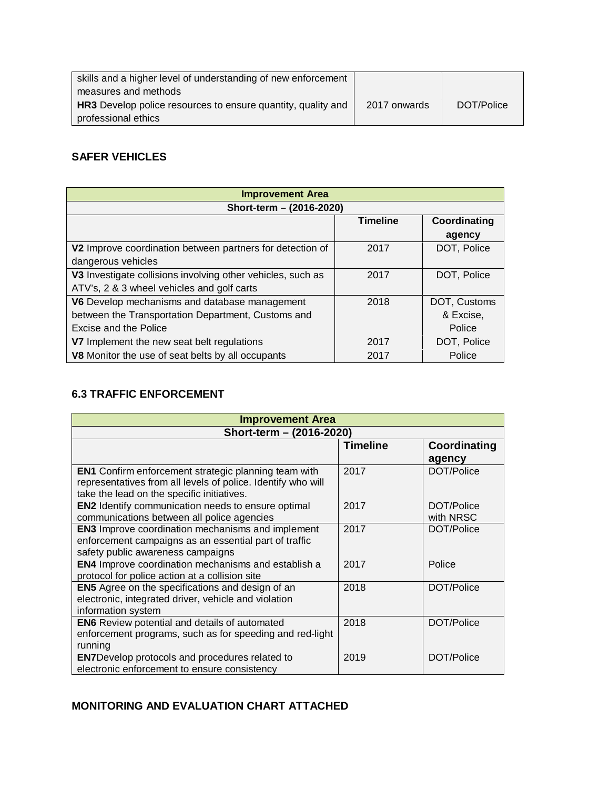| skills and a higher level of understanding of new enforcement       |              |            |
|---------------------------------------------------------------------|--------------|------------|
| measures and methods                                                |              |            |
| <b>HR3</b> Develop police resources to ensure quantity, quality and | 2017 onwards | DOT/Police |
| professional ethics                                                 |              |            |

### **SAFER VEHICLES**

| <b>Improvement Area</b>                                     |              |              |  |  |  |  |
|-------------------------------------------------------------|--------------|--------------|--|--|--|--|
| Short-term - (2016-2020)                                    |              |              |  |  |  |  |
|                                                             | Coordinating |              |  |  |  |  |
|                                                             |              | agency       |  |  |  |  |
| V2 Improve coordination between partners for detection of   | 2017         | DOT, Police  |  |  |  |  |
| dangerous vehicles                                          |              |              |  |  |  |  |
| V3 Investigate collisions involving other vehicles, such as | 2017         | DOT, Police  |  |  |  |  |
| ATV's, 2 & 3 wheel vehicles and golf carts                  |              |              |  |  |  |  |
| V6 Develop mechanisms and database management               | 2018         | DOT, Customs |  |  |  |  |
| between the Transportation Department, Customs and          |              | & Excise,    |  |  |  |  |
| Excise and the Police                                       |              | Police       |  |  |  |  |
| V7 Implement the new seat belt regulations                  | 2017         | DOT, Police  |  |  |  |  |
| V8 Monitor the use of seat belts by all occupants           | 2017         | Police       |  |  |  |  |

# **6.3 TRAFFIC ENFORCEMENT**

| <b>Improvement Area</b>                                                                                                                                                   |                 |                         |  |  |  |
|---------------------------------------------------------------------------------------------------------------------------------------------------------------------------|-----------------|-------------------------|--|--|--|
| Short-term - (2016-2020)                                                                                                                                                  |                 |                         |  |  |  |
|                                                                                                                                                                           | <b>Timeline</b> | Coordinating<br>agency  |  |  |  |
| <b>EN1</b> Confirm enforcement strategic planning team with<br>representatives from all levels of police. Identify who will<br>take the lead on the specific initiatives. | 2017            | DOT/Police              |  |  |  |
| <b>EN2</b> Identify communication needs to ensure optimal<br>communications between all police agencies                                                                   | 2017            | DOT/Police<br>with NRSC |  |  |  |
| <b>EN3</b> Improve coordination mechanisms and implement<br>enforcement campaigns as an essential part of traffic<br>safety public awareness campaigns                    | 2017            | DOT/Police              |  |  |  |
| <b>EN4</b> Improve coordination mechanisms and establish a<br>protocol for police action at a collision site                                                              | 2017            | Police                  |  |  |  |
| <b>EN5</b> Agree on the specifications and design of an<br>electronic, integrated driver, vehicle and violation<br>information system                                     | 2018            | DOT/Police              |  |  |  |
| <b>EN6</b> Review potential and details of automated<br>enforcement programs, such as for speeding and red-light<br>running                                               | 2018            | DOT/Police              |  |  |  |
| <b>EN7</b> Develop protocols and procedures related to<br>electronic enforcement to ensure consistency                                                                    | 2019            | DOT/Police              |  |  |  |

# **MONITORING AND EVALUATION CHART ATTACHED**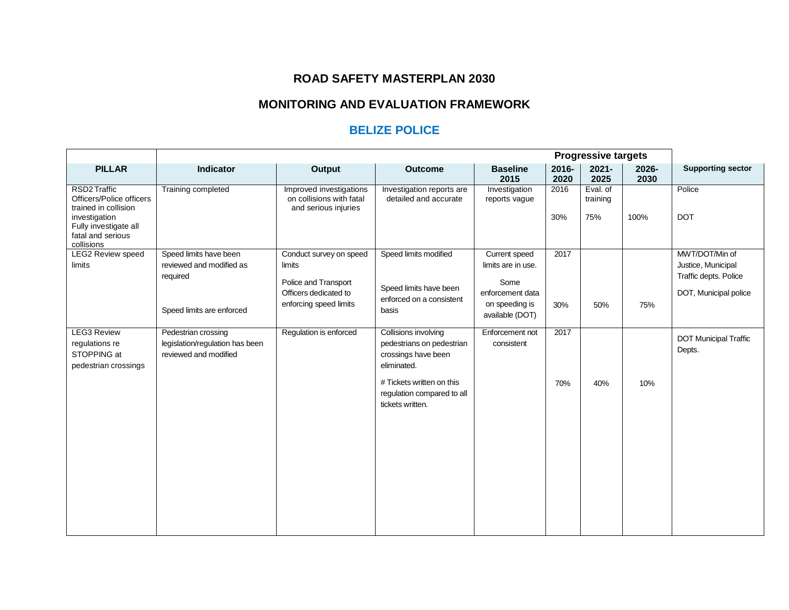## **ROAD SAFETY MASTERPLAN 2030**

# **MONITORING AND EVALUATION FRAMEWORK**

## **BELIZE POLICE**

|                                                                                                                                               | <b>Progressive targets</b>                                                                  |                                                                                                              |                                                                                                                                                                        |                                                                                                      |               |                             |               |                                                                                        |
|-----------------------------------------------------------------------------------------------------------------------------------------------|---------------------------------------------------------------------------------------------|--------------------------------------------------------------------------------------------------------------|------------------------------------------------------------------------------------------------------------------------------------------------------------------------|------------------------------------------------------------------------------------------------------|---------------|-----------------------------|---------------|----------------------------------------------------------------------------------------|
| <b>PILLAR</b>                                                                                                                                 | <b>Indicator</b>                                                                            | <b>Output</b>                                                                                                | <b>Outcome</b>                                                                                                                                                         | <b>Baseline</b><br>2015                                                                              | 2016-<br>2020 | $2021 -$<br>2025            | 2026-<br>2030 | <b>Supporting sector</b>                                                               |
| RSD2 Traffic<br>Officers/Police officers<br>trained in collision<br>investigation<br>Fully investigate all<br>fatal and serious<br>collisions | Training completed                                                                          | Improved investigations<br>on collisions with fatal<br>and serious injuries                                  | Investigation reports are<br>detailed and accurate                                                                                                                     | Investigation<br>reports vague                                                                       | 2016<br>30%   | Eval. of<br>training<br>75% | 100%          | Police<br><b>DOT</b>                                                                   |
| <b>LEG2 Review speed</b><br>limits                                                                                                            | Speed limits have been<br>reviewed and modified as<br>required<br>Speed limits are enforced | Conduct survey on speed<br>limits<br>Police and Transport<br>Officers dedicated to<br>enforcing speed limits | Speed limits modified<br>Speed limits have been<br>enforced on a consistent<br>basis                                                                                   | Current speed<br>limits are in use.<br>Some<br>enforcement data<br>on speeding is<br>available (DOT) | 2017<br>30%   | 50%                         | 75%           | MWT/DOT/Min of<br>Justice, Municipal<br>Traffic depts. Police<br>DOT, Municipal police |
| <b>LEG3 Review</b><br>regulations re<br>STOPPING at<br>pedestrian crossings                                                                   | Pedestrian crossing<br>legislation/regulation has been<br>reviewed and modified             | Regulation is enforced                                                                                       | Collisions involving<br>pedestrians on pedestrian<br>crossings have been<br>eliminated.<br># Tickets written on this<br>regulation compared to all<br>tickets written. | Enforcement not<br>consistent                                                                        | 2017<br>70%   | 40%                         | 10%           | <b>DOT Municipal Traffic</b><br>Depts.                                                 |